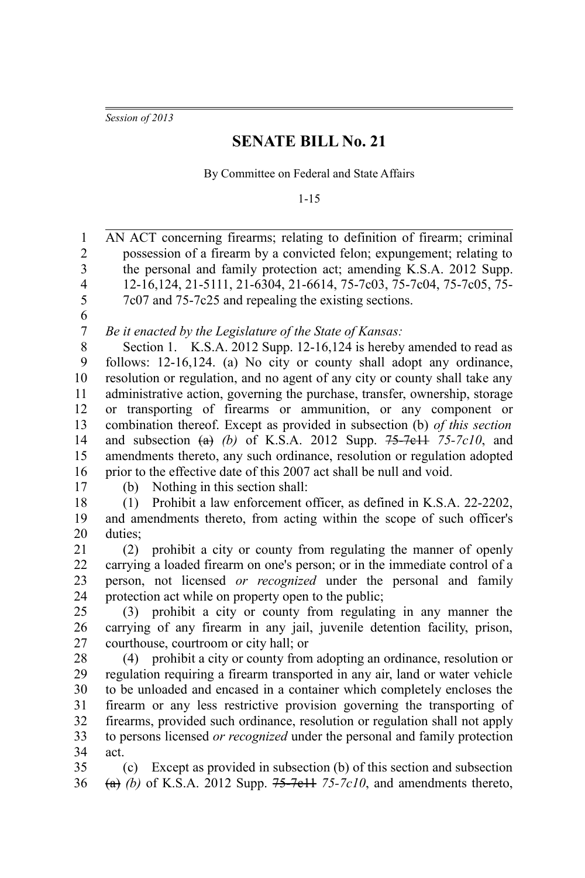*Session of 2013*

## **SENATE BILL No. 21**

By Committee on Federal and State Affairs

1-15

| $\mathbf{1}$             | AN ACT concerning firearms; relating to definition of firearm; criminal      |
|--------------------------|------------------------------------------------------------------------------|
| $\overline{c}$           | possession of a firearm by a convicted felon; expungement; relating to       |
| 3                        | the personal and family protection act; amending K.S.A. 2012 Supp.           |
| $\overline{\mathcal{L}}$ | 12-16, 124, 21-5111, 21-6304, 21-6614, 75-7c03, 75-7c04, 75-7c05, 75-        |
| 5                        | 7c07 and 75-7c25 and repealing the existing sections.                        |
| 6                        |                                                                              |
| $\overline{7}$           | Be it enacted by the Legislature of the State of Kansas:                     |
| 8                        | Section 1. K.S.A. 2012 Supp. 12-16,124 is hereby amended to read as          |
| 9                        | follows: 12-16,124. (a) No city or county shall adopt any ordinance,         |
| 10                       | resolution or regulation, and no agent of any city or county shall take any  |
| 11                       | administrative action, governing the purchase, transfer, ownership, storage  |
| 12                       | or transporting of firearms or ammunition, or any component or               |
| 13                       | combination thereof. Except as provided in subsection (b) of this section    |
| 14                       | and subsection $(a)$ (b) of K.S.A. 2012 Supp. $75-7e11$ 75-7c10, and         |
| 15                       | amendments thereto, any such ordinance, resolution or regulation adopted     |
| 16                       | prior to the effective date of this 2007 act shall be null and void.         |
| 17                       | (b) Nothing in this section shall:                                           |
| 18                       | (1) Prohibit a law enforcement officer, as defined in K.S.A. 22-2202,        |
| 19                       | and amendments thereto, from acting within the scope of such officer's       |
| 20                       | duties;                                                                      |
| 21                       | prohibit a city or county from regulating the manner of openly<br>(2)        |
| 22                       | carrying a loaded firearm on one's person; or in the immediate control of a  |
| 23                       | person, not licensed or recognized under the personal and family             |
| 24                       | protection act while on property open to the public;                         |
| 25                       | (3) prohibit a city or county from regulating in any manner the              |
| 26                       | carrying of any firearm in any jail, juvenile detention facility, prison,    |
| 27                       | courthouse, courtroom or city hall; or                                       |
| 28                       | (4) prohibit a city or county from adopting an ordinance, resolution or      |
| 29                       | regulation requiring a firearm transported in any air, land or water vehicle |
| 30                       | to be unloaded and encased in a container which completely encloses the      |
| 31                       | firearm or any less restrictive provision governing the transporting of      |
| 32                       | firearms, provided such ordinance, resolution or regulation shall not apply  |
| 33                       | to persons licensed or recognized under the personal and family protection   |
| 34                       | act.                                                                         |
| 35                       | (c) Except as provided in subsection (b) of this section and subsection      |
| 36                       | (a) (b) of K.S.A. 2012 Supp. $75-7e11$ 75-7c10, and amendments thereto,      |
|                          |                                                                              |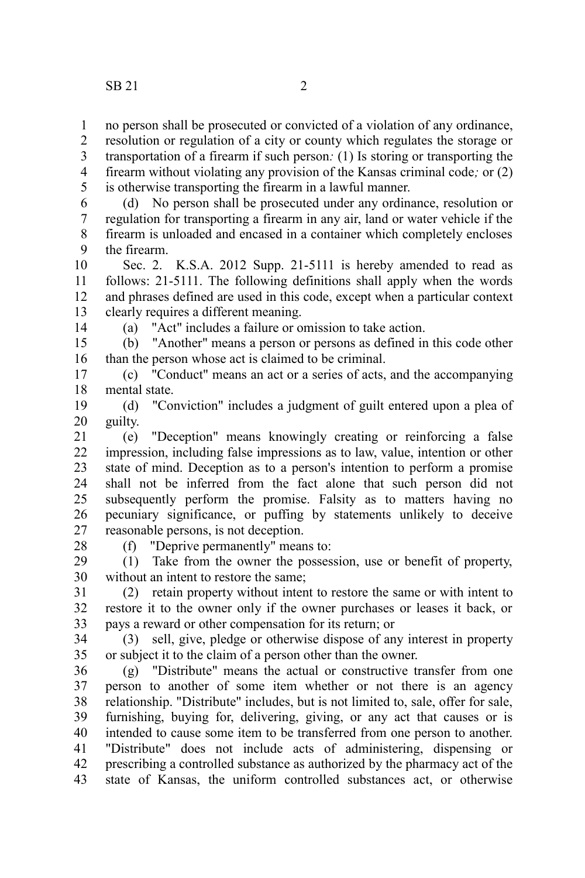no person shall be prosecuted or convicted of a violation of any ordinance, 1

resolution or regulation of a city or county which regulates the storage or transportation of a firearm if such person*:* (1) Is storing or transporting the firearm without violating any provision of the Kansas criminal code*;* or (2) is otherwise transporting the firearm in a lawful manner. 2 3 4 5

(d) No person shall be prosecuted under any ordinance, resolution or regulation for transporting a firearm in any air, land or water vehicle if the firearm is unloaded and encased in a container which completely encloses the firearm. 6 7 8 9

Sec. 2. K.S.A. 2012 Supp. 21-5111 is hereby amended to read as follows: 21-5111. The following definitions shall apply when the words and phrases defined are used in this code, except when a particular context clearly requires a different meaning. 10 11 12 13

14

(a) "Act" includes a failure or omission to take action.

(b) "Another" means a person or persons as defined in this code other than the person whose act is claimed to be criminal. 15 16

(c) "Conduct" means an act or a series of acts, and the accompanying mental state. 17 18

(d) "Conviction" includes a judgment of guilt entered upon a plea of guilty. 19 20

(e) "Deception" means knowingly creating or reinforcing a false impression, including false impressions as to law, value, intention or other state of mind. Deception as to a person's intention to perform a promise shall not be inferred from the fact alone that such person did not subsequently perform the promise. Falsity as to matters having no pecuniary significance, or puffing by statements unlikely to deceive reasonable persons, is not deception. 21 22 23 24 25 26 27

28

(f) "Deprive permanently" means to:

(1) Take from the owner the possession, use or benefit of property, without an intent to restore the same; 29 30

(2) retain property without intent to restore the same or with intent to restore it to the owner only if the owner purchases or leases it back, or pays a reward or other compensation for its return; or 31 32 33

(3) sell, give, pledge or otherwise dispose of any interest in property or subject it to the claim of a person other than the owner. 34 35

(g) "Distribute" means the actual or constructive transfer from one person to another of some item whether or not there is an agency relationship. "Distribute" includes, but is not limited to, sale, offer for sale, furnishing, buying for, delivering, giving, or any act that causes or is intended to cause some item to be transferred from one person to another. "Distribute" does not include acts of administering, dispensing or prescribing a controlled substance as authorized by the pharmacy act of the state of Kansas, the uniform controlled substances act, or otherwise 36 37 38 39 40 41 42 43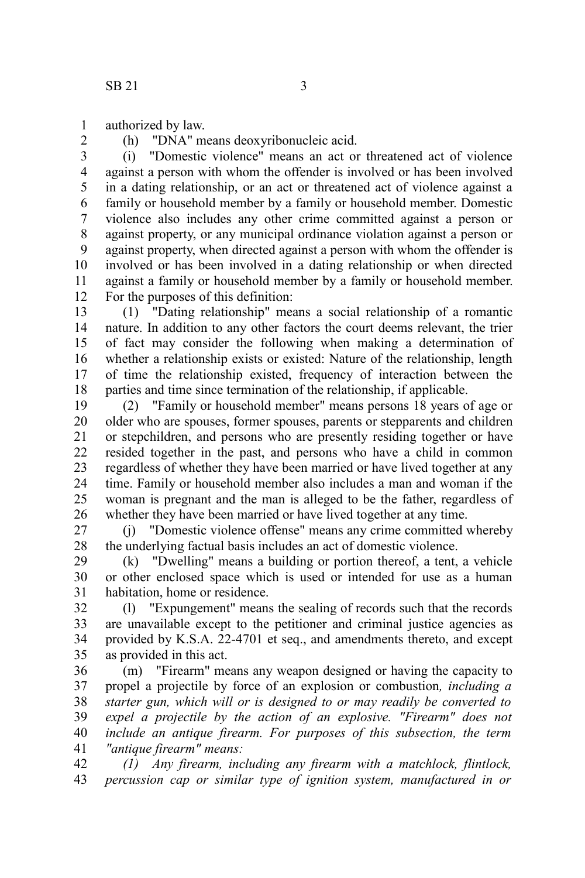2

authorized by law. 1

(h) "DNA" means deoxyribonucleic acid.

(i) "Domestic violence" means an act or threatened act of violence against a person with whom the offender is involved or has been involved in a dating relationship, or an act or threatened act of violence against a family or household member by a family or household member. Domestic violence also includes any other crime committed against a person or against property, or any municipal ordinance violation against a person or against property, when directed against a person with whom the offender is involved or has been involved in a dating relationship or when directed against a family or household member by a family or household member. For the purposes of this definition: 3 4 5 6 7 8 9 10 11 12

(1) "Dating relationship" means a social relationship of a romantic nature. In addition to any other factors the court deems relevant, the trier of fact may consider the following when making a determination of whether a relationship exists or existed: Nature of the relationship, length of time the relationship existed, frequency of interaction between the parties and time since termination of the relationship, if applicable. 13 14 15 16 17 18

(2) "Family or household member" means persons 18 years of age or older who are spouses, former spouses, parents or stepparents and children or stepchildren, and persons who are presently residing together or have resided together in the past, and persons who have a child in common regardless of whether they have been married or have lived together at any time. Family or household member also includes a man and woman if the woman is pregnant and the man is alleged to be the father, regardless of whether they have been married or have lived together at any time. 19 20 21 22 23 24 25 26

(j) "Domestic violence offense" means any crime committed whereby the underlying factual basis includes an act of domestic violence. 27 28

(k) "Dwelling" means a building or portion thereof, a tent, a vehicle or other enclosed space which is used or intended for use as a human habitation, home or residence. 29 30 31

(l) "Expungement" means the sealing of records such that the records are unavailable except to the petitioner and criminal justice agencies as provided by K.S.A. 22-4701 et seq., and amendments thereto, and except as provided in this act. 32 33 34 35

(m) "Firearm" means any weapon designed or having the capacity to propel a projectile by force of an explosion or combustion*, including a starter gun, which will or is designed to or may readily be converted to expel a projectile by the action of an explosive. "Firearm" does not include an antique firearm. For purposes of this subsection, the term "antique firearm" means:* 36 37 38 39 40 41

*(1) Any firearm, including any firearm with a matchlock, flintlock, percussion cap or similar type of ignition system, manufactured in or* 42 43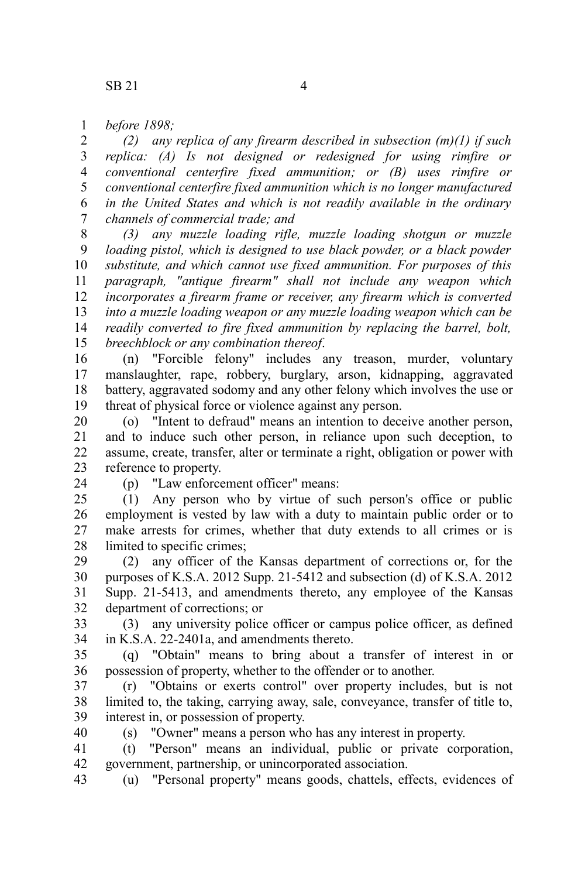*before 1898;* 1

*(2) any replica of any firearm described in subsection (m)(1) if such replica: (A) Is not designed or redesigned for using rimfire or conventional centerfire fixed ammunition; or (B) uses rimfire or conventional centerfire fixed ammunition which is no longer manufactured in the United States and which is not readily available in the ordinary channels of commercial trade; and* 2 3 4 5 6 7

*(3) any muzzle loading rifle, muzzle loading shotgun or muzzle loading pistol, which is designed to use black powder, or a black powder substitute, and which cannot use fixed ammunition. For purposes of this paragraph, "antique firearm" shall not include any weapon which incorporates a firearm frame or receiver, any firearm which is converted into a muzzle loading weapon or any muzzle loading weapon which can be readily converted to fire fixed ammunition by replacing the barrel, bolt, breechblock or any combination thereof*. 8 9 10 11 12 13 14 15

(n) "Forcible felony" includes any treason, murder, voluntary manslaughter, rape, robbery, burglary, arson, kidnapping, aggravated battery, aggravated sodomy and any other felony which involves the use or threat of physical force or violence against any person. 16 17 18 19

(o) "Intent to defraud" means an intention to deceive another person, and to induce such other person, in reliance upon such deception, to assume, create, transfer, alter or terminate a right, obligation or power with reference to property. 20 21 22 23

24

(p) "Law enforcement officer" means:

(1) Any person who by virtue of such person's office or public employment is vested by law with a duty to maintain public order or to make arrests for crimes, whether that duty extends to all crimes or is limited to specific crimes; 25 26 27 28

(2) any officer of the Kansas department of corrections or, for the purposes of K.S.A. 2012 Supp. 21-5412 and subsection (d) of K.S.A. 2012 Supp. 21-5413, and amendments thereto, any employee of the Kansas department of corrections; or 29 30 31 32

(3) any university police officer or campus police officer, as defined in K.S.A. 22-2401a, and amendments thereto. 33 34

(q) "Obtain" means to bring about a transfer of interest in or possession of property, whether to the offender or to another. 35 36

(r) "Obtains or exerts control" over property includes, but is not limited to, the taking, carrying away, sale, conveyance, transfer of title to, interest in, or possession of property. 37 38 39

40

(s) "Owner" means a person who has any interest in property.

(t) "Person" means an individual, public or private corporation, government, partnership, or unincorporated association. 41 42

(u) "Personal property" means goods, chattels, effects, evidences of 43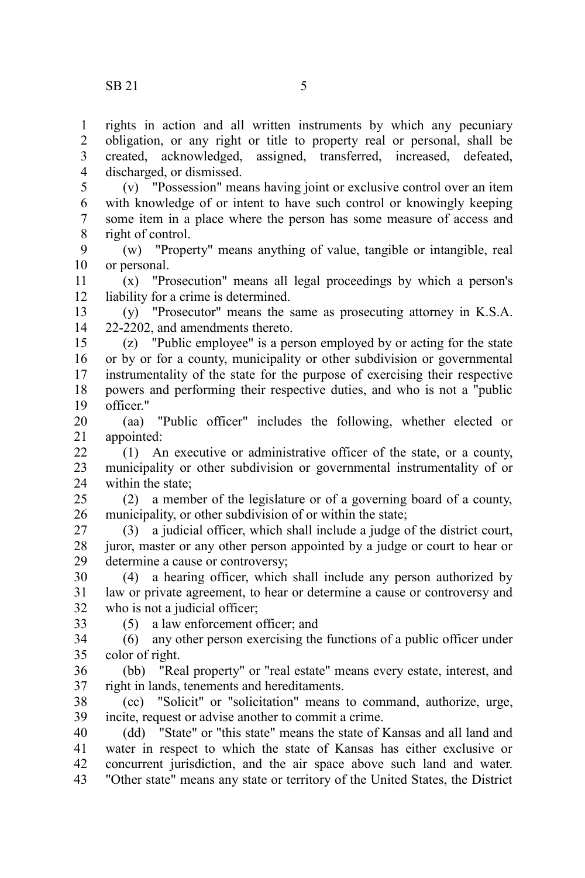rights in action and all written instruments by which any pecuniary obligation, or any right or title to property real or personal, shall be created, acknowledged, assigned, transferred, increased, defeated, discharged, or dismissed. 1 2 3 4

(v) "Possession" means having joint or exclusive control over an item with knowledge of or intent to have such control or knowingly keeping some item in a place where the person has some measure of access and right of control. 5 6 7 8

(w) "Property" means anything of value, tangible or intangible, real or personal. 9 10

(x) "Prosecution" means all legal proceedings by which a person's liability for a crime is determined. 11 12

(y) "Prosecutor" means the same as prosecuting attorney in K.S.A. 22-2202, and amendments thereto. 13 14

(z) "Public employee" is a person employed by or acting for the state or by or for a county, municipality or other subdivision or governmental instrumentality of the state for the purpose of exercising their respective powers and performing their respective duties, and who is not a "public officer." 15 16 17 18 19

(aa) "Public officer" includes the following, whether elected or appointed: 20 21

(1) An executive or administrative officer of the state, or a county, municipality or other subdivision or governmental instrumentality of or within the state; 22 23 24

(2) a member of the legislature or of a governing board of a county, municipality, or other subdivision of or within the state; 25 26

(3) a judicial officer, which shall include a judge of the district court, juror, master or any other person appointed by a judge or court to hear or determine a cause or controversy; 27 28 29

(4) a hearing officer, which shall include any person authorized by law or private agreement, to hear or determine a cause or controversy and who is not a judicial officer; 30 31 32

33

(5) a law enforcement officer; and

(6) any other person exercising the functions of a public officer under color of right. 34 35

(bb) "Real property" or "real estate" means every estate, interest, and right in lands, tenements and hereditaments. 36 37

(cc) "Solicit" or "solicitation" means to command, authorize, urge, incite, request or advise another to commit a crime. 38 39

(dd) "State" or "this state" means the state of Kansas and all land and water in respect to which the state of Kansas has either exclusive or concurrent jurisdiction, and the air space above such land and water. "Other state" means any state or territory of the United States, the District 40 41 42 43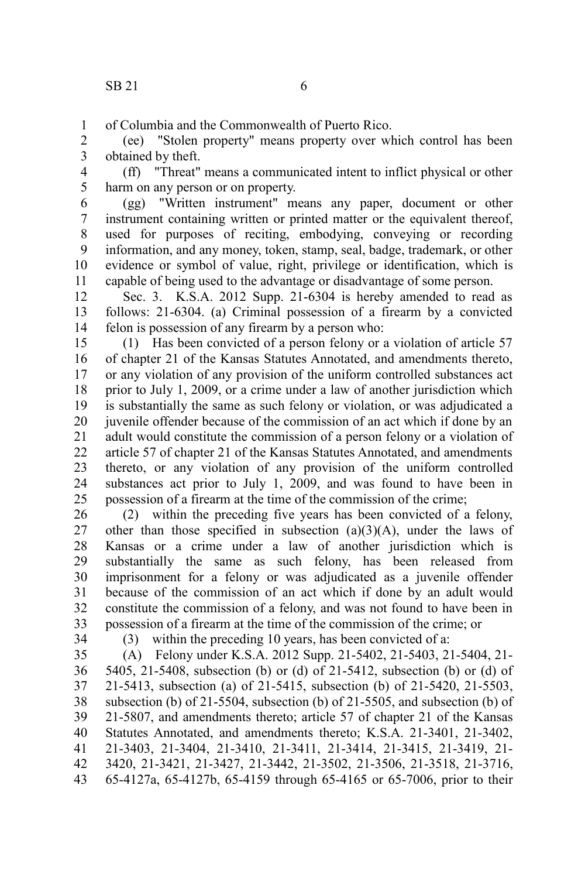of Columbia and the Commonwealth of Puerto Rico. 1

(ee) "Stolen property" means property over which control has been obtained by theft. 2 3

(ff) "Threat" means a communicated intent to inflict physical or other harm on any person or on property. 4 5

(gg) "Written instrument" means any paper, document or other instrument containing written or printed matter or the equivalent thereof, used for purposes of reciting, embodying, conveying or recording information, and any money, token, stamp, seal, badge, trademark, or other evidence or symbol of value, right, privilege or identification, which is capable of being used to the advantage or disadvantage of some person. 6 7 8 9 10 11

Sec. 3. K.S.A. 2012 Supp. 21-6304 is hereby amended to read as follows: 21-6304. (a) Criminal possession of a firearm by a convicted felon is possession of any firearm by a person who: 12 13 14

(1) Has been convicted of a person felony or a violation of article 57 of chapter 21 of the Kansas Statutes Annotated, and amendments thereto, or any violation of any provision of the uniform controlled substances act prior to July 1, 2009, or a crime under a law of another jurisdiction which is substantially the same as such felony or violation, or was adjudicated a juvenile offender because of the commission of an act which if done by an adult would constitute the commission of a person felony or a violation of article 57 of chapter 21 of the Kansas Statutes Annotated, and amendments thereto, or any violation of any provision of the uniform controlled substances act prior to July 1, 2009, and was found to have been in possession of a firearm at the time of the commission of the crime; 15 16 17 18 19 20 21 22 23 24 25

(2) within the preceding five years has been convicted of a felony, other than those specified in subsection  $(a)(3)(A)$ , under the laws of Kansas or a crime under a law of another jurisdiction which is substantially the same as such felony, has been released from imprisonment for a felony or was adjudicated as a juvenile offender because of the commission of an act which if done by an adult would constitute the commission of a felony, and was not found to have been in possession of a firearm at the time of the commission of the crime; or 26 27 28 29 30 31 32 33

34

(3) within the preceding 10 years, has been convicted of a:

(A) Felony under K.S.A. 2012 Supp. 21-5402, 21-5403, 21-5404, 21- 5405, 21-5408, subsection (b) or (d) of 21-5412, subsection (b) or (d) of 21-5413, subsection (a) of 21-5415, subsection (b) of 21-5420, 21-5503, subsection (b) of 21-5504, subsection (b) of 21-5505, and subsection (b) of 21-5807, and amendments thereto; article 57 of chapter 21 of the Kansas Statutes Annotated, and amendments thereto; K.S.A. 21-3401, 21-3402, 21-3403, 21-3404, 21-3410, 21-3411, 21-3414, 21-3415, 21-3419, 21- 3420, 21-3421, 21-3427, 21-3442, 21-3502, 21-3506, 21-3518, 21-3716, 65-4127a, 65-4127b, 65-4159 through 65-4165 or 65-7006, prior to their 35 36 37 38 39 40 41 42 43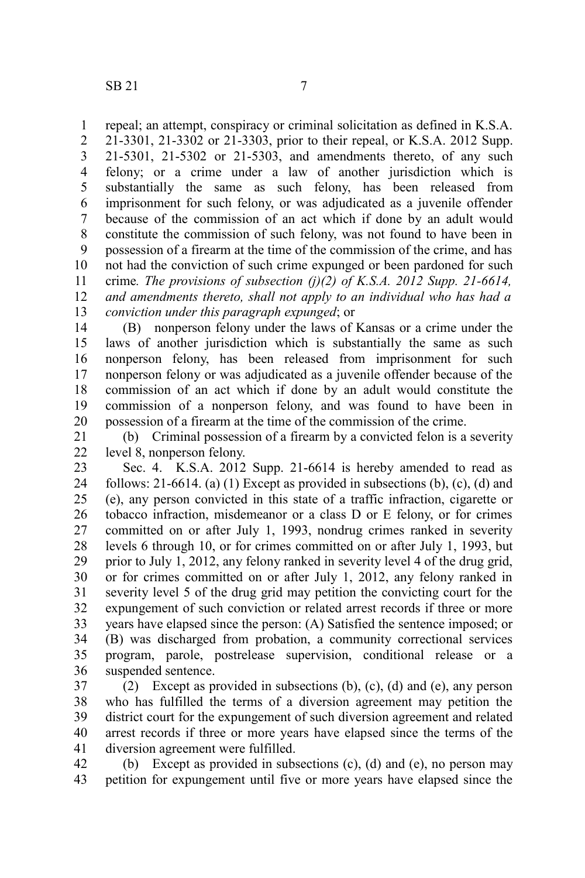repeal; an attempt, conspiracy or criminal solicitation as defined in K.S.A. 1

21-3301, 21-3302 or 21-3303, prior to their repeal, or K.S.A. 2012 Supp. 21-5301, 21-5302 or 21-5303, and amendments thereto, of any such felony; or a crime under a law of another jurisdiction which is substantially the same as such felony, has been released from imprisonment for such felony, or was adjudicated as a juvenile offender because of the commission of an act which if done by an adult would constitute the commission of such felony, was not found to have been in possession of a firearm at the time of the commission of the crime, and has not had the conviction of such crime expunged or been pardoned for such crime*. The provisions of subsection (j)(2) of K.S.A. 2012 Supp. 21-6614, and amendments thereto, shall not apply to an individual who has had a conviction under this paragraph expunged*; or 2 3 4 5 6 7 8 9 10 11 12 13

(B) nonperson felony under the laws of Kansas or a crime under the laws of another jurisdiction which is substantially the same as such nonperson felony, has been released from imprisonment for such nonperson felony or was adjudicated as a juvenile offender because of the commission of an act which if done by an adult would constitute the commission of a nonperson felony, and was found to have been in possession of a firearm at the time of the commission of the crime. 14 15 16 17 18 19 20

(b) Criminal possession of a firearm by a convicted felon is a severity level 8, nonperson felony. 21 22

Sec. 4. K.S.A. 2012 Supp. 21-6614 is hereby amended to read as follows: 21-6614. (a) (1) Except as provided in subsections (b), (c), (d) and (e), any person convicted in this state of a traffic infraction, cigarette or tobacco infraction, misdemeanor or a class D or E felony, or for crimes committed on or after July 1, 1993, nondrug crimes ranked in severity levels 6 through 10, or for crimes committed on or after July 1, 1993, but prior to July 1, 2012, any felony ranked in severity level 4 of the drug grid, or for crimes committed on or after July 1, 2012, any felony ranked in severity level 5 of the drug grid may petition the convicting court for the expungement of such conviction or related arrest records if three or more years have elapsed since the person: (A) Satisfied the sentence imposed; or (B) was discharged from probation, a community correctional services program, parole, postrelease supervision, conditional release or a suspended sentence. 23 24 25 26 27 28 29 30 31 32 33 34 35 36

(2) Except as provided in subsections (b), (c), (d) and (e), any person who has fulfilled the terms of a diversion agreement may petition the district court for the expungement of such diversion agreement and related arrest records if three or more years have elapsed since the terms of the diversion agreement were fulfilled. 37 38 39 40 41

(b) Except as provided in subsections (c), (d) and (e), no person may petition for expungement until five or more years have elapsed since the 42 43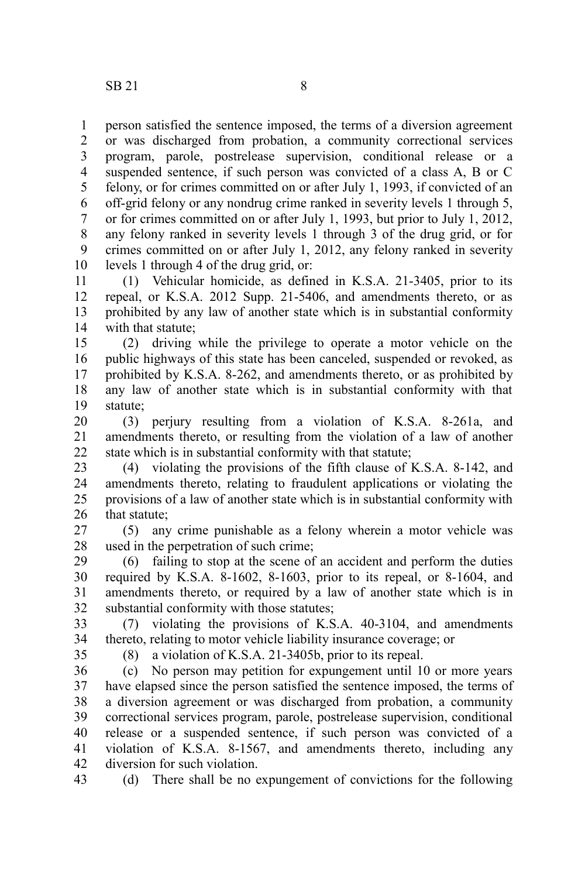person satisfied the sentence imposed, the terms of a diversion agreement or was discharged from probation, a community correctional services program, parole, postrelease supervision, conditional release or a suspended sentence, if such person was convicted of a class A, B or C felony, or for crimes committed on or after July 1, 1993, if convicted of an off-grid felony or any nondrug crime ranked in severity levels 1 through 5, or for crimes committed on or after July 1, 1993, but prior to July 1, 2012, any felony ranked in severity levels 1 through 3 of the drug grid, or for crimes committed on or after July 1, 2012, any felony ranked in severity levels 1 through 4 of the drug grid, or: 1 2 3 4 5 6 7 8 9 10

(1) Vehicular homicide, as defined in K.S.A. 21-3405, prior to its repeal, or K.S.A. 2012 Supp. 21-5406, and amendments thereto, or as prohibited by any law of another state which is in substantial conformity with that statute: 11 12 13 14

(2) driving while the privilege to operate a motor vehicle on the public highways of this state has been canceled, suspended or revoked, as prohibited by K.S.A. 8-262, and amendments thereto, or as prohibited by any law of another state which is in substantial conformity with that statute; 15 16 17 18 19

(3) perjury resulting from a violation of K.S.A. 8-261a, and amendments thereto, or resulting from the violation of a law of another state which is in substantial conformity with that statute; 20 21 22

(4) violating the provisions of the fifth clause of K.S.A. 8-142, and amendments thereto, relating to fraudulent applications or violating the provisions of a law of another state which is in substantial conformity with that statute; 23 24 25 26

(5) any crime punishable as a felony wherein a motor vehicle was used in the perpetration of such crime; 27 28

(6) failing to stop at the scene of an accident and perform the duties required by K.S.A. 8-1602, 8-1603, prior to its repeal, or 8-1604, and amendments thereto, or required by a law of another state which is in substantial conformity with those statutes; 29 30 31 32

(7) violating the provisions of K.S.A. 40-3104, and amendments thereto, relating to motor vehicle liability insurance coverage; or 33 34

35

(8) a violation of K.S.A. 21-3405b, prior to its repeal.

(c) No person may petition for expungement until 10 or more years have elapsed since the person satisfied the sentence imposed, the terms of a diversion agreement or was discharged from probation, a community correctional services program, parole, postrelease supervision, conditional release or a suspended sentence, if such person was convicted of a violation of K.S.A. 8-1567, and amendments thereto, including any diversion for such violation. 36 37 38 39 40 41 42

(d) There shall be no expungement of convictions for the following 43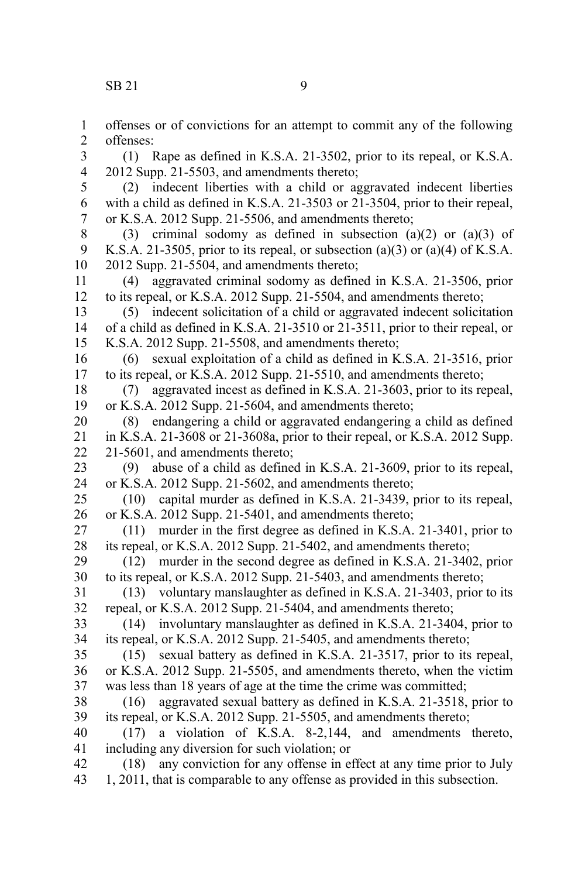offenses or of convictions for an attempt to commit any of the following offenses: (1) Rape as defined in K.S.A. 21-3502, prior to its repeal, or K.S.A. 2012 Supp. 21-5503, and amendments thereto; (2) indecent liberties with a child or aggravated indecent liberties with a child as defined in K.S.A. 21-3503 or 21-3504, prior to their repeal, or K.S.A. 2012 Supp. 21-5506, and amendments thereto; (3) criminal sodomy as defined in subsection  $(a)(2)$  or  $(a)(3)$  of K.S.A. 21-3505, prior to its repeal, or subsection  $(a)(3)$  or  $(a)(4)$  of K.S.A. 2012 Supp. 21-5504, and amendments thereto; (4) aggravated criminal sodomy as defined in K.S.A. 21-3506, prior to its repeal, or K.S.A. 2012 Supp. 21-5504, and amendments thereto; (5) indecent solicitation of a child or aggravated indecent solicitation of a child as defined in K.S.A. 21-3510 or 21-3511, prior to their repeal, or K.S.A. 2012 Supp. 21-5508, and amendments thereto; (6) sexual exploitation of a child as defined in K.S.A. 21-3516, prior to its repeal, or K.S.A. 2012 Supp. 21-5510, and amendments thereto; (7) aggravated incest as defined in K.S.A. 21-3603, prior to its repeal, or K.S.A. 2012 Supp. 21-5604, and amendments thereto; (8) endangering a child or aggravated endangering a child as defined in K.S.A. 21-3608 or 21-3608a, prior to their repeal, or K.S.A. 2012 Supp. 21-5601, and amendments thereto; (9) abuse of a child as defined in K.S.A. 21-3609, prior to its repeal, or K.S.A. 2012 Supp. 21-5602, and amendments thereto; (10) capital murder as defined in K.S.A. 21-3439, prior to its repeal, or K.S.A. 2012 Supp. 21-5401, and amendments thereto; (11) murder in the first degree as defined in K.S.A. 21-3401, prior to its repeal, or K.S.A. 2012 Supp. 21-5402, and amendments thereto; (12) murder in the second degree as defined in K.S.A. 21-3402, prior to its repeal, or K.S.A. 2012 Supp. 21-5403, and amendments thereto; (13) voluntary manslaughter as defined in K.S.A. 21-3403, prior to its repeal, or K.S.A. 2012 Supp. 21-5404, and amendments thereto; (14) involuntary manslaughter as defined in K.S.A. 21-3404, prior to its repeal, or K.S.A. 2012 Supp. 21-5405, and amendments thereto; (15) sexual battery as defined in K.S.A. 21-3517, prior to its repeal, or K.S.A. 2012 Supp. 21-5505, and amendments thereto, when the victim was less than 18 years of age at the time the crime was committed; (16) aggravated sexual battery as defined in K.S.A. 21-3518, prior to its repeal, or K.S.A. 2012 Supp. 21-5505, and amendments thereto; (17) a violation of K.S.A. 8-2,144, and amendments thereto, including any diversion for such violation; or (18) any conviction for any offense in effect at any time prior to July 1, 2011, that is comparable to any offense as provided in this subsection. 1 2 3 4 5 6 7 8 9 10 11 12 13 14 15 16 17 18 19 20 21 22 23 24 25 26 27 28 29 30 31 32 33 34 35 36 37 38 39 40 41 42 43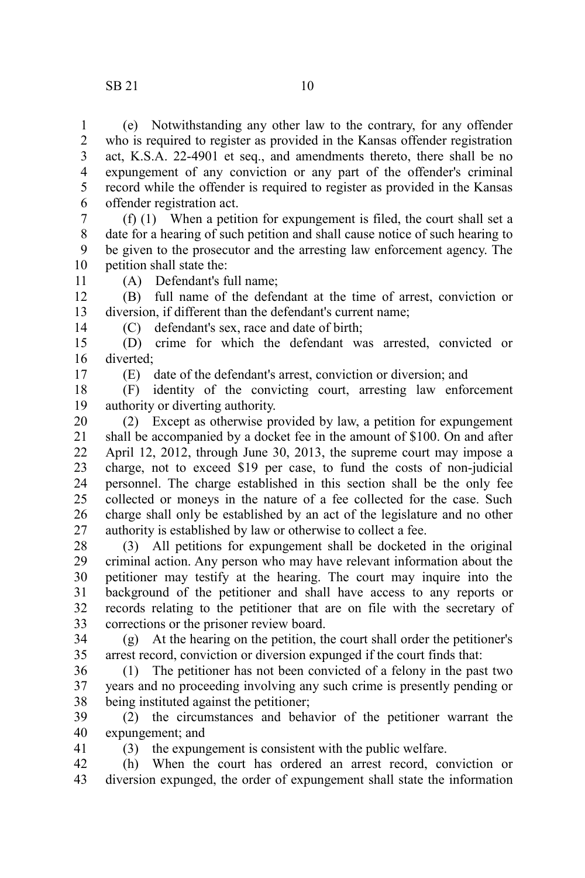(e) Notwithstanding any other law to the contrary, for any offender who is required to register as provided in the Kansas offender registration act, K.S.A. 22-4901 et seq., and amendments thereto, there shall be no expungement of any conviction or any part of the offender's criminal

record while the offender is required to register as provided in the Kansas offender registration act. 5 6

(f) (1) When a petition for expungement is filed, the court shall set a date for a hearing of such petition and shall cause notice of such hearing to be given to the prosecutor and the arresting law enforcement agency. The petition shall state the: 7 8 9 10

11

(A) Defendant's full name;

(B) full name of the defendant at the time of arrest, conviction or diversion, if different than the defendant's current name; 12 13

14

17

41

(C) defendant's sex, race and date of birth;

(D) crime for which the defendant was arrested, convicted or diverted; 15 16

(E) date of the defendant's arrest, conviction or diversion; and

(F) identity of the convicting court, arresting law enforcement authority or diverting authority. 18 19

(2) Except as otherwise provided by law, a petition for expungement shall be accompanied by a docket fee in the amount of \$100. On and after April 12, 2012, through June 30, 2013, the supreme court may impose a charge, not to exceed \$19 per case, to fund the costs of non-judicial personnel. The charge established in this section shall be the only fee collected or moneys in the nature of a fee collected for the case. Such charge shall only be established by an act of the legislature and no other authority is established by law or otherwise to collect a fee. 20 21 22 23 24 25 26 27

(3) All petitions for expungement shall be docketed in the original criminal action. Any person who may have relevant information about the petitioner may testify at the hearing. The court may inquire into the background of the petitioner and shall have access to any reports or records relating to the petitioner that are on file with the secretary of corrections or the prisoner review board. 28 29 30 31 32 33

(g) At the hearing on the petition, the court shall order the petitioner's arrest record, conviction or diversion expunged if the court finds that: 34 35

(1) The petitioner has not been convicted of a felony in the past two years and no proceeding involving any such crime is presently pending or being instituted against the petitioner; 36 37 38

(2) the circumstances and behavior of the petitioner warrant the expungement; and 39 40

(3) the expungement is consistent with the public welfare.

(h) When the court has ordered an arrest record, conviction or diversion expunged, the order of expungement shall state the information 42 43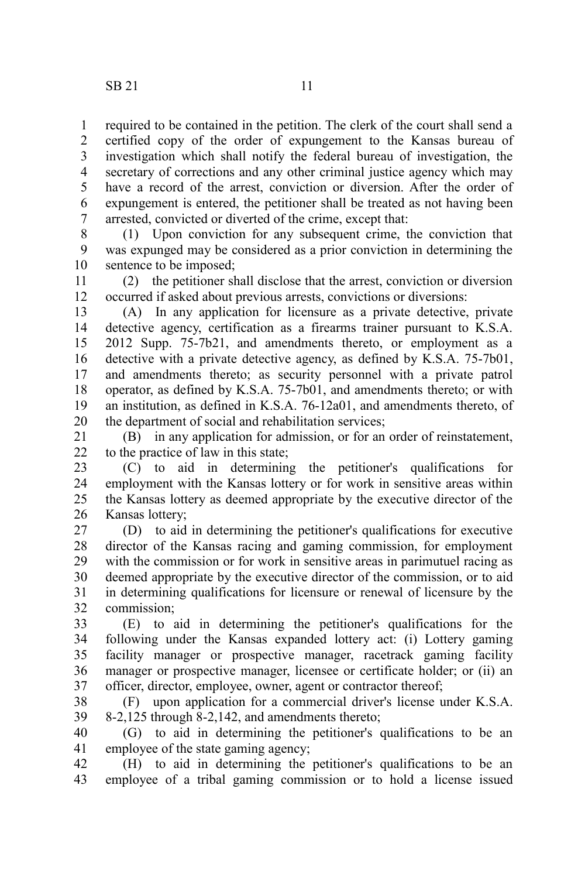required to be contained in the petition. The clerk of the court shall send a certified copy of the order of expungement to the Kansas bureau of investigation which shall notify the federal bureau of investigation, the secretary of corrections and any other criminal justice agency which may have a record of the arrest, conviction or diversion. After the order of expungement is entered, the petitioner shall be treated as not having been arrested, convicted or diverted of the crime, except that: 1 2 3 4 5 6 7

(1) Upon conviction for any subsequent crime, the conviction that was expunged may be considered as a prior conviction in determining the sentence to be imposed; 8 9 10

(2) the petitioner shall disclose that the arrest, conviction or diversion occurred if asked about previous arrests, convictions or diversions: 11 12

(A) In any application for licensure as a private detective, private detective agency, certification as a firearms trainer pursuant to K.S.A. 2012 Supp. 75-7b21, and amendments thereto, or employment as a detective with a private detective agency, as defined by K.S.A. 75-7b01, and amendments thereto; as security personnel with a private patrol operator, as defined by K.S.A. 75-7b01, and amendments thereto; or with an institution, as defined in K.S.A. 76-12a01, and amendments thereto, of the department of social and rehabilitation services; 13 14 15 16 17 18 19 20

(B) in any application for admission, or for an order of reinstatement, to the practice of law in this state; 21 22

(C) to aid in determining the petitioner's qualifications for employment with the Kansas lottery or for work in sensitive areas within the Kansas lottery as deemed appropriate by the executive director of the Kansas lottery; 23 24 25 26

(D) to aid in determining the petitioner's qualifications for executive director of the Kansas racing and gaming commission, for employment with the commission or for work in sensitive areas in parimutuel racing as deemed appropriate by the executive director of the commission, or to aid in determining qualifications for licensure or renewal of licensure by the commission; 27 28 29 30 31 32

(E) to aid in determining the petitioner's qualifications for the following under the Kansas expanded lottery act: (i) Lottery gaming facility manager or prospective manager, racetrack gaming facility manager or prospective manager, licensee or certificate holder; or (ii) an officer, director, employee, owner, agent or contractor thereof; 33 34 35 36 37

(F) upon application for a commercial driver's license under K.S.A. 8-2,125 through 8-2,142, and amendments thereto; 38 39

(G) to aid in determining the petitioner's qualifications to be an employee of the state gaming agency; 40 41

(H) to aid in determining the petitioner's qualifications to be an employee of a tribal gaming commission or to hold a license issued 42 43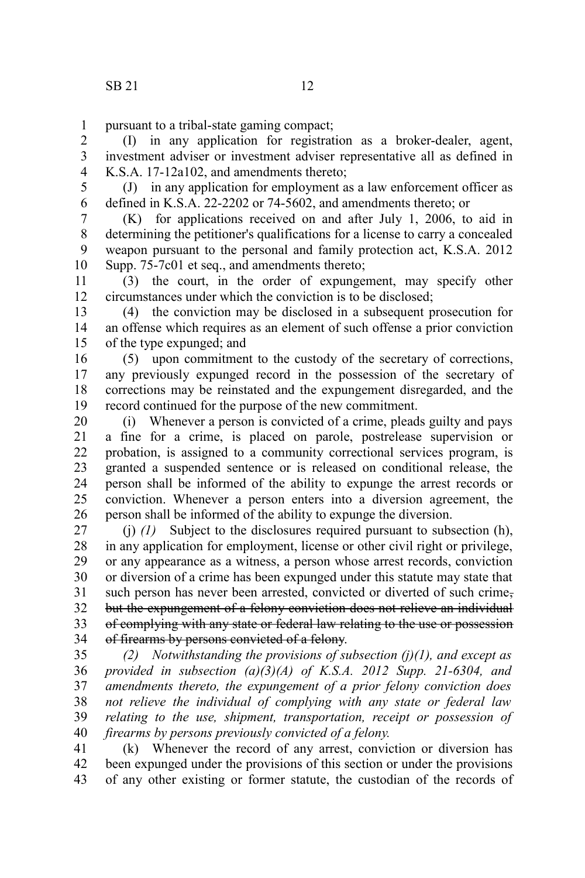pursuant to a tribal-state gaming compact; 1

(I) in any application for registration as a broker-dealer, agent, investment adviser or investment adviser representative all as defined in K.S.A. 17-12a102, and amendments thereto; 2 3 4

(J) in any application for employment as a law enforcement officer as defined in K.S.A. 22-2202 or 74-5602, and amendments thereto; or 5 6

(K) for applications received on and after July 1, 2006, to aid in determining the petitioner's qualifications for a license to carry a concealed weapon pursuant to the personal and family protection act, K.S.A. 2012 Supp. 75-7c01 et seq., and amendments thereto; 7 8 9 10

(3) the court, in the order of expungement, may specify other circumstances under which the conviction is to be disclosed; 11 12

(4) the conviction may be disclosed in a subsequent prosecution for an offense which requires as an element of such offense a prior conviction of the type expunged; and 13 14 15

(5) upon commitment to the custody of the secretary of corrections, any previously expunged record in the possession of the secretary of corrections may be reinstated and the expungement disregarded, and the record continued for the purpose of the new commitment. 16 17 18 19

(i) Whenever a person is convicted of a crime, pleads guilty and pays a fine for a crime, is placed on parole, postrelease supervision or probation, is assigned to a community correctional services program, is granted a suspended sentence or is released on conditional release, the person shall be informed of the ability to expunge the arrest records or conviction. Whenever a person enters into a diversion agreement, the person shall be informed of the ability to expunge the diversion. 20 21 22 23 24 25 26

(j) *(1)* Subject to the disclosures required pursuant to subsection (h), in any application for employment, license or other civil right or privilege, or any appearance as a witness, a person whose arrest records, conviction or diversion of a crime has been expunged under this statute may state that such person has never been arrested, convicted or diverted of such crime, but the expungement of a felony conviction does not relieve an individual of complying with any state or federal law relating to the use or possession of firearms by persons convicted of a felony. 27 28 29 30 31 32 33 34

*(2) Notwithstanding the provisions of subsection (j)(1), and except as provided in subsection (a)(3)(A) of K.S.A. 2012 Supp. 21-6304, and amendments thereto, the expungement of a prior felony conviction does not relieve the individual of complying with any state or federal law relating to the use, shipment, transportation, receipt or possession of firearms by persons previously convicted of a felony.* 35 36 37 38 39 40

(k) Whenever the record of any arrest, conviction or diversion has been expunged under the provisions of this section or under the provisions of any other existing or former statute, the custodian of the records of 41 42 43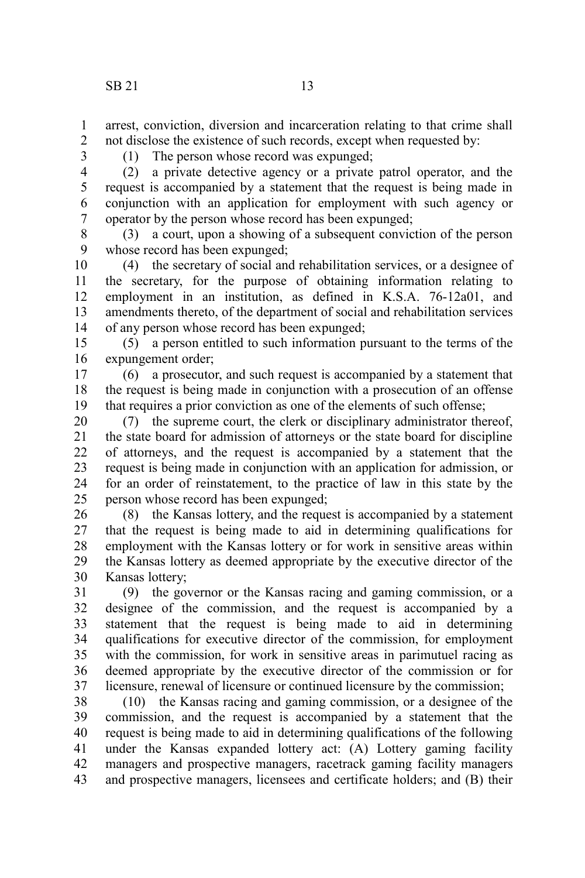arrest, conviction, diversion and incarceration relating to that crime shall not disclose the existence of such records, except when requested by: 1 2

3

(1) The person whose record was expunged;

(2) a private detective agency or a private patrol operator, and the request is accompanied by a statement that the request is being made in conjunction with an application for employment with such agency or operator by the person whose record has been expunged; 4 5 6 7

(3) a court, upon a showing of a subsequent conviction of the person whose record has been expunged; 8 9

(4) the secretary of social and rehabilitation services, or a designee of the secretary, for the purpose of obtaining information relating to employment in an institution, as defined in K.S.A. 76-12a01, and amendments thereto, of the department of social and rehabilitation services of any person whose record has been expunged; 10 11 12 13 14

(5) a person entitled to such information pursuant to the terms of the expungement order; 15 16

(6) a prosecutor, and such request is accompanied by a statement that the request is being made in conjunction with a prosecution of an offense that requires a prior conviction as one of the elements of such offense; 17 18 19

(7) the supreme court, the clerk or disciplinary administrator thereof, the state board for admission of attorneys or the state board for discipline of attorneys, and the request is accompanied by a statement that the request is being made in conjunction with an application for admission, or for an order of reinstatement, to the practice of law in this state by the person whose record has been expunged; 20 21 22 23 24 25

(8) the Kansas lottery, and the request is accompanied by a statement that the request is being made to aid in determining qualifications for employment with the Kansas lottery or for work in sensitive areas within the Kansas lottery as deemed appropriate by the executive director of the Kansas lottery; 26 27 28 29 30

(9) the governor or the Kansas racing and gaming commission, or a designee of the commission, and the request is accompanied by a statement that the request is being made to aid in determining qualifications for executive director of the commission, for employment with the commission, for work in sensitive areas in parimutuel racing as deemed appropriate by the executive director of the commission or for licensure, renewal of licensure or continued licensure by the commission; 31 32 33 34 35 36 37

(10) the Kansas racing and gaming commission, or a designee of the commission, and the request is accompanied by a statement that the request is being made to aid in determining qualifications of the following under the Kansas expanded lottery act: (A) Lottery gaming facility managers and prospective managers, racetrack gaming facility managers and prospective managers, licensees and certificate holders; and (B) their 38 39 40 41 42 43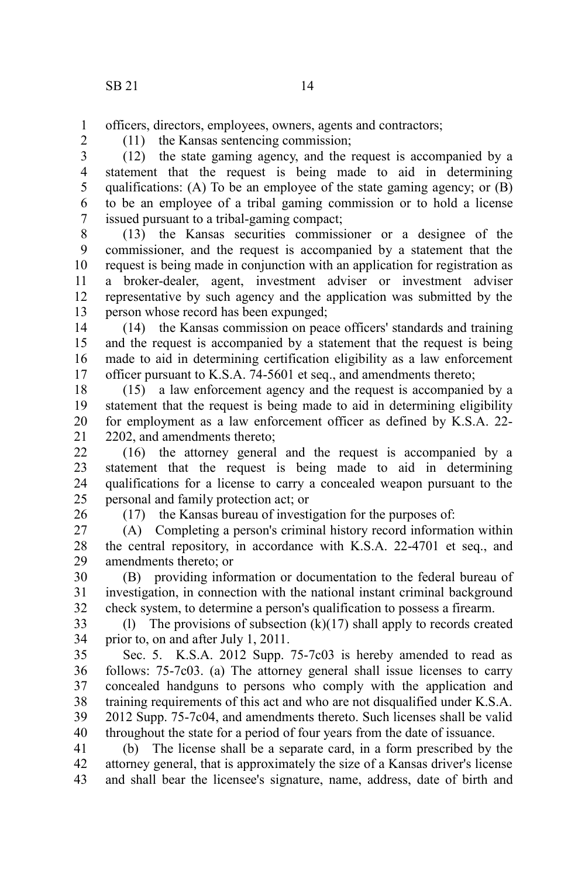officers, directors, employees, owners, agents and contractors; 1

(11) the Kansas sentencing commission;

2

(12) the state gaming agency, and the request is accompanied by a statement that the request is being made to aid in determining qualifications: (A) To be an employee of the state gaming agency; or (B) to be an employee of a tribal gaming commission or to hold a license issued pursuant to a tribal-gaming compact; 3 4 5 6 7

(13) the Kansas securities commissioner or a designee of the commissioner, and the request is accompanied by a statement that the request is being made in conjunction with an application for registration as a broker-dealer, agent, investment adviser or investment adviser representative by such agency and the application was submitted by the person whose record has been expunged; 8 9 10 11 12 13

(14) the Kansas commission on peace officers' standards and training and the request is accompanied by a statement that the request is being made to aid in determining certification eligibility as a law enforcement officer pursuant to K.S.A. 74-5601 et seq., and amendments thereto; 14 15 16 17

(15) a law enforcement agency and the request is accompanied by a statement that the request is being made to aid in determining eligibility for employment as a law enforcement officer as defined by K.S.A. 22- 2202, and amendments thereto; 18 19 20 21

(16) the attorney general and the request is accompanied by a statement that the request is being made to aid in determining qualifications for a license to carry a concealed weapon pursuant to the personal and family protection act; or 22 23 24 25

26

(17) the Kansas bureau of investigation for the purposes of:

(A) Completing a person's criminal history record information within the central repository, in accordance with K.S.A. 22-4701 et seq., and amendments thereto; or 27 28 29

(B) providing information or documentation to the federal bureau of investigation, in connection with the national instant criminal background check system, to determine a person's qualification to possess a firearm. 30 31 32

(l) The provisions of subsection  $(k)(17)$  shall apply to records created prior to, on and after July 1, 2011. 33 34

Sec. 5. K.S.A. 2012 Supp. 75-7c03 is hereby amended to read as follows: 75-7c03. (a) The attorney general shall issue licenses to carry concealed handguns to persons who comply with the application and training requirements of this act and who are not disqualified under K.S.A. 2012 Supp. 75-7c04, and amendments thereto. Such licenses shall be valid throughout the state for a period of four years from the date of issuance. 35 36 37 38 39 40

(b) The license shall be a separate card, in a form prescribed by the attorney general, that is approximately the size of a Kansas driver's license and shall bear the licensee's signature, name, address, date of birth and 41 42 43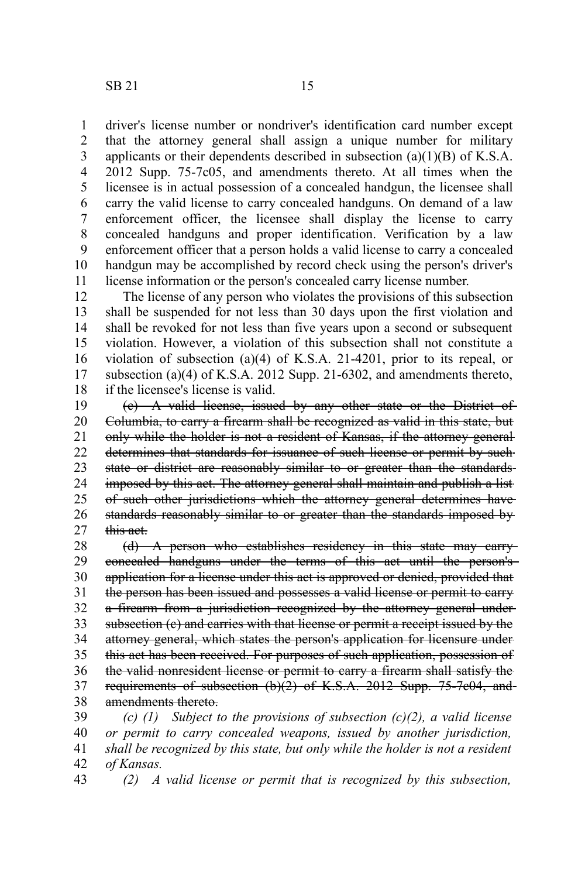driver's license number or nondriver's identification card number except that the attorney general shall assign a unique number for military applicants or their dependents described in subsection  $(a)(1)(B)$  of K.S.A. 2012 Supp. 75-7c05, and amendments thereto. At all times when the licensee is in actual possession of a concealed handgun, the licensee shall carry the valid license to carry concealed handguns. On demand of a law enforcement officer, the licensee shall display the license to carry concealed handguns and proper identification. Verification by a law enforcement officer that a person holds a valid license to carry a concealed handgun may be accomplished by record check using the person's driver's license information or the person's concealed carry license number. 1 2 3 4 5 6 7 8 9 10 11

The license of any person who violates the provisions of this subsection shall be suspended for not less than 30 days upon the first violation and shall be revoked for not less than five years upon a second or subsequent violation. However, a violation of this subsection shall not constitute a violation of subsection (a)(4) of K.S.A. 21-4201, prior to its repeal, or subsection (a)(4) of K.S.A. 2012 Supp. 21-6302, and amendments thereto, if the licensee's license is valid. 12 13 14 15 16 17 18

(c) A valid license, issued by any other state or the District of Columbia, to carry a firearm shall be recognized as valid in this state, but only while the holder is not a resident of Kansas, if the attorney general determines that standards for issuance of such license or permit by suchstate or district are reasonably similar to or greater than the standardsimposed by this act. The attorney general shall maintain and publish a list of such other jurisdictions which the attorney general determines have standards reasonably similar to or greater than the standards imposed by this act. 19 20 21 22 23 24 25 26 27

(d) A person who establishes residency in this state may carry concealed handguns under the terms of this act until the person's application for a license under this act is approved or denied, provided that the person has been issued and possesses a valid license or permit to carry a firearm from a jurisdiction recognized by the attorney general under subsection (e) and carries with that license or permit a receipt issued by the attorney general, which states the person's application for licensure under this act has been received. For purposes of such application, possession of the valid nonresident license or permit to carry a firearm shall satisfy the requirements of subsection (b)(2) of K.S.A. 2012 Supp. 75-7c04, and amendments thereto. 28 29 30 31 32 33 34 35 36 37 38

*(c) (1) Subject to the provisions of subsection (c)(2), a valid license or permit to carry concealed weapons, issued by another jurisdiction, shall be recognized by this state, but only while the holder is not a resident of Kansas.* 39 40 41 42

*(2) A valid license or permit that is recognized by this subsection,* 43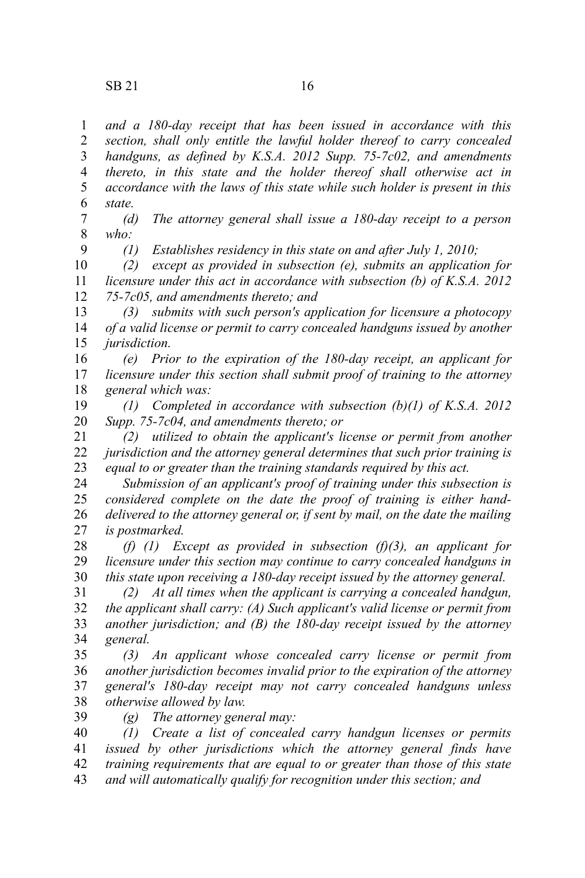9

*and a 180-day receipt that has been issued in accordance with this section, shall only entitle the lawful holder thereof to carry concealed handguns, as defined by K.S.A. 2012 Supp. 75-7c02, and amendments thereto, in this state and the holder thereof shall otherwise act in accordance with the laws of this state while such holder is present in this state.* 1 2 3 4 5 6

*(d) The attorney general shall issue a 180-day receipt to a person who:* 7 8

*(1) Establishes residency in this state on and after July 1, 2010;*

*(2) except as provided in subsection (e), submits an application for licensure under this act in accordance with subsection (b) of K.S.A. 2012 75-7c05, and amendments thereto; and* 10 11 12

*(3) submits with such person's application for licensure a photocopy of a valid license or permit to carry concealed handguns issued by another jurisdiction.* 13 14 15

*(e) Prior to the expiration of the 180-day receipt, an applicant for licensure under this section shall submit proof of training to the attorney general which was:*  16 17 18

*(1) Completed in accordance with subsection (b)(1) of K.S.A. 2012 Supp. 75-7c04, and amendments thereto; or*  19 20

*(2) utilized to obtain the applicant's license or permit from another jurisdiction and the attorney general determines that such prior training is equal to or greater than the training standards required by this act.*  21 22 23

*Submission of an applicant's proof of training under this subsection is considered complete on the date the proof of training is either handdelivered to the attorney general or, if sent by mail, on the date the mailing is postmarked.* 24 25 26 27

*(f) (1) Except as provided in subsection (f)(3), an applicant for licensure under this section may continue to carry concealed handguns in this state upon receiving a 180-day receipt issued by the attorney general.* 28 29 30

*(2) At all times when the applicant is carrying a concealed handgun, the applicant shall carry: (A) Such applicant's valid license or permit from another jurisdiction; and (B) the 180-day receipt issued by the attorney general.* 31 32 33 34

*(3) An applicant whose concealed carry license or permit from another jurisdiction becomes invalid prior to the expiration of the attorney general's 180-day receipt may not carry concealed handguns unless otherwise allowed by law.* 35 36 37 38

*(g) The attorney general may:* 39

*(1) Create a list of concealed carry handgun licenses or permits issued by other jurisdictions which the attorney general finds have training requirements that are equal to or greater than those of this state and will automatically qualify for recognition under this section; and* 40 41 42 43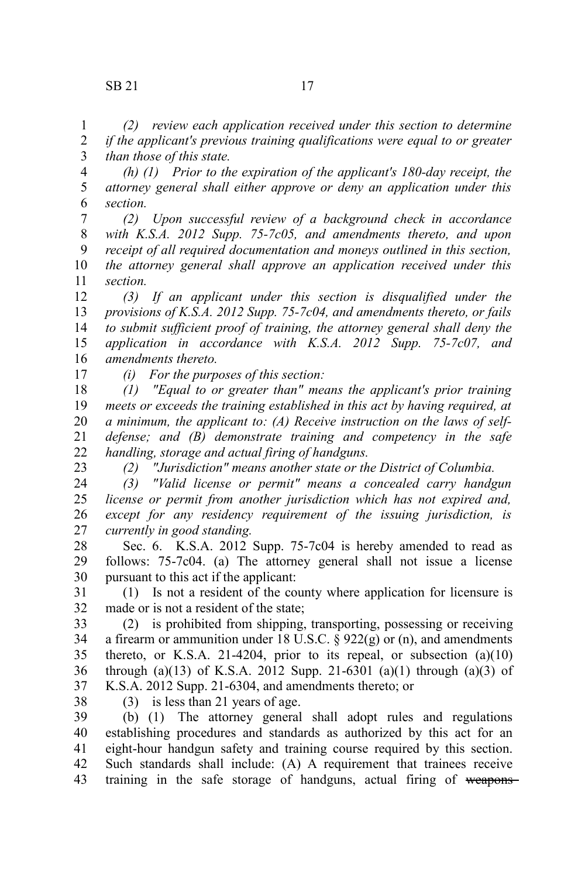*(2) review each application received under this section to determine if the applicant's previous training qualifications were equal to or greater than those of this state.* 1 2 3

*(h) (1) Prior to the expiration of the applicant's 180-day receipt, the attorney general shall either approve or deny an application under this section.* 4 5 6

*(2) Upon successful review of a background check in accordance with K.S.A. 2012 Supp. 75-7c05, and amendments thereto, and upon receipt of all required documentation and moneys outlined in this section, the attorney general shall approve an application received under this section.* 7 8 9 10 11

*(3) If an applicant under this section is disqualified under the provisions of K.S.A. 2012 Supp. 75-7c04, and amendments thereto, or fails to submit sufficient proof of training, the attorney general shall deny the application in accordance with K.S.A. 2012 Supp. 75-7c07, and amendments thereto.* 12 13 14 15 16

*(i) For the purposes of this section:*

*(1) "Equal to or greater than" means the applicant's prior training meets or exceeds the training established in this act by having required, at a minimum, the applicant to: (A) Receive instruction on the laws of selfdefense; and (B) demonstrate training and competency in the safe handling, storage and actual firing of handguns.* 18 19 20 21 22

23

17

*(2) "Jurisdiction" means another state or the District of Columbia.*

*(3) "Valid license or permit" means a concealed carry handgun license or permit from another jurisdiction which has not expired and, except for any residency requirement of the issuing jurisdiction, is currently in good standing.* 24 25 26 27

Sec. 6. K.S.A. 2012 Supp. 75-7c04 is hereby amended to read as follows: 75-7c04. (a) The attorney general shall not issue a license pursuant to this act if the applicant: 28 29 30

(1) Is not a resident of the county where application for licensure is made or is not a resident of the state; 31 32

(2) is prohibited from shipping, transporting, possessing or receiving a firearm or ammunition under 18 U.S.C.  $\frac{6}{9}$  922(g) or (n), and amendments thereto, or K.S.A. 21-4204, prior to its repeal, or subsection (a)(10) through (a)(13) of K.S.A. 2012 Supp. 21-6301 (a)(1) through (a)(3) of K.S.A. 2012 Supp. 21-6304, and amendments thereto; or 33 34 35 36 37

38

(3) is less than 21 years of age.

(b) (1) The attorney general shall adopt rules and regulations establishing procedures and standards as authorized by this act for an eight-hour handgun safety and training course required by this section. Such standards shall include: (A) A requirement that trainees receive training in the safe storage of handguns, actual firing of weapons 39 40 41 42 43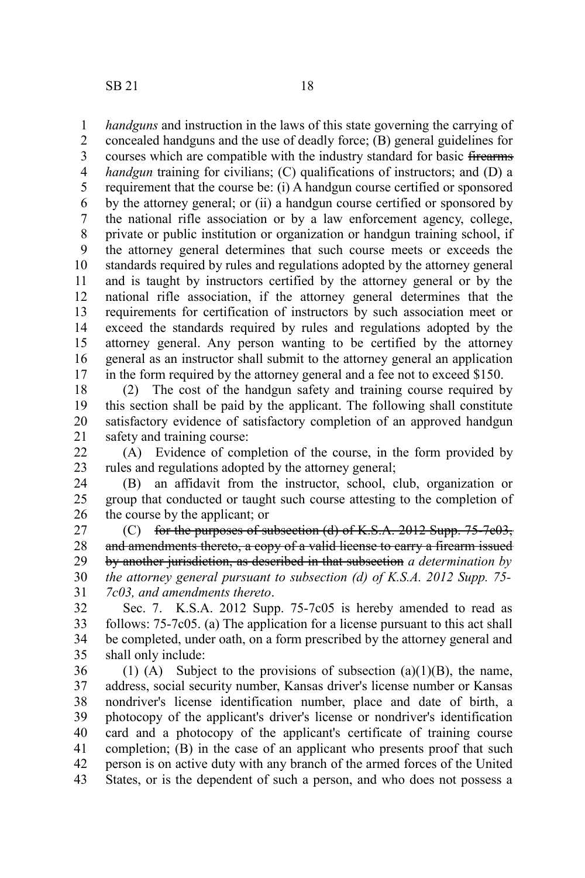$SB 21$  18

*handguns* and instruction in the laws of this state governing the carrying of concealed handguns and the use of deadly force; (B) general guidelines for courses which are compatible with the industry standard for basic firearms *handgun* training for civilians; (C) qualifications of instructors; and (D) a requirement that the course be: (i) A handgun course certified or sponsored by the attorney general; or (ii) a handgun course certified or sponsored by the national rifle association or by a law enforcement agency, college, private or public institution or organization or handgun training school, if the attorney general determines that such course meets or exceeds the standards required by rules and regulations adopted by the attorney general and is taught by instructors certified by the attorney general or by the national rifle association, if the attorney general determines that the requirements for certification of instructors by such association meet or exceed the standards required by rules and regulations adopted by the attorney general. Any person wanting to be certified by the attorney general as an instructor shall submit to the attorney general an application in the form required by the attorney general and a fee not to exceed \$150. 1 2 3 4 5 6 7 8 9 10 11 12 13 14 15 16 17

(2) The cost of the handgun safety and training course required by this section shall be paid by the applicant. The following shall constitute satisfactory evidence of satisfactory completion of an approved handgun safety and training course: 18 19 20 21

(A) Evidence of completion of the course, in the form provided by rules and regulations adopted by the attorney general; 22 23

(B) an affidavit from the instructor, school, club, organization or group that conducted or taught such course attesting to the completion of the course by the applicant; or 24 25 26

(C) for the purposes of subsection (d) of K.S.A.  $2012$  Supp. 75-7 $c03$ , and amendments thereto, a copy of a valid license to carry a firearm issued by another jurisdiction, as described in that subsection *a determination by the attorney general pursuant to subsection (d) of K.S.A. 2012 Supp. 75- 7c03, and amendments thereto*. 27 28 29 30 31

Sec. 7. K.S.A. 2012 Supp. 75-7c05 is hereby amended to read as follows: 75-7c05. (a) The application for a license pursuant to this act shall be completed, under oath, on a form prescribed by the attorney general and shall only include: 32 33 34 35

(1) (A) Subject to the provisions of subsection  $(a)(1)(B)$ , the name, address, social security number, Kansas driver's license number or Kansas nondriver's license identification number, place and date of birth, a photocopy of the applicant's driver's license or nondriver's identification card and a photocopy of the applicant's certificate of training course completion; (B) in the case of an applicant who presents proof that such person is on active duty with any branch of the armed forces of the United States, or is the dependent of such a person, and who does not possess a 36 37 38 39 40 41 42 43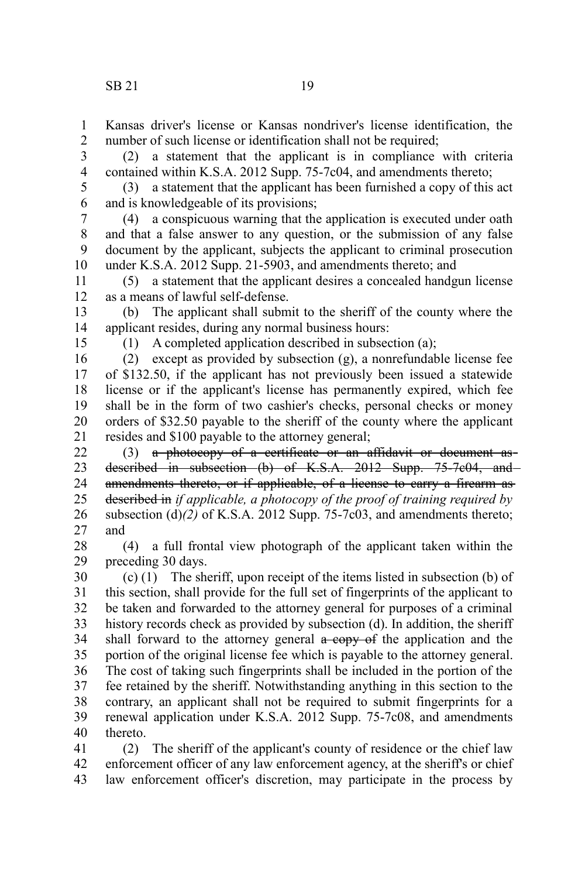15

Kansas driver's license or Kansas nondriver's license identification, the number of such license or identification shall not be required; 1 2

(2) a statement that the applicant is in compliance with criteria contained within K.S.A. 2012 Supp. 75-7c04, and amendments thereto; 3 4

(3) a statement that the applicant has been furnished a copy of this act and is knowledgeable of its provisions; 5 6

(4) a conspicuous warning that the application is executed under oath and that a false answer to any question, or the submission of any false document by the applicant, subjects the applicant to criminal prosecution under K.S.A. 2012 Supp. 21-5903, and amendments thereto; and 7 8 9 10

(5) a statement that the applicant desires a concealed handgun license as a means of lawful self-defense. 11 12

(b) The applicant shall submit to the sheriff of the county where the applicant resides, during any normal business hours: 13 14

(1) A completed application described in subsection (a);

(2) except as provided by subsection (g), a nonrefundable license fee of \$132.50, if the applicant has not previously been issued a statewide license or if the applicant's license has permanently expired, which fee shall be in the form of two cashier's checks, personal checks or money orders of \$32.50 payable to the sheriff of the county where the applicant resides and \$100 payable to the attorney general; 16 17 18 19 20 21

(3) a photocopy of a certificate or an affidavit or document asdescribed in subsection (b) of K.S.A. 2012 Supp. 75-7e04, and amendments thereto, or if applicable, of a license to carry a firearm as described in *if applicable, a photocopy of the proof of training required by* subsection (d)*(2)* of K.S.A. 2012 Supp. 75-7c03, and amendments thereto; and 22 23 24 25 26 27

(4) a full frontal view photograph of the applicant taken within the preceding 30 days. 28 29

(c) (1) The sheriff, upon receipt of the items listed in subsection (b) of this section, shall provide for the full set of fingerprints of the applicant to be taken and forwarded to the attorney general for purposes of a criminal history records check as provided by subsection (d). In addition, the sheriff shall forward to the attorney general  $a$  copy of the application and the portion of the original license fee which is payable to the attorney general. The cost of taking such fingerprints shall be included in the portion of the fee retained by the sheriff. Notwithstanding anything in this section to the contrary, an applicant shall not be required to submit fingerprints for a renewal application under K.S.A. 2012 Supp. 75-7c08, and amendments thereto. 30 31 32 33 34 35 36 37 38 39 40

(2) The sheriff of the applicant's county of residence or the chief law enforcement officer of any law enforcement agency, at the sheriff's or chief law enforcement officer's discretion, may participate in the process by 41 42 43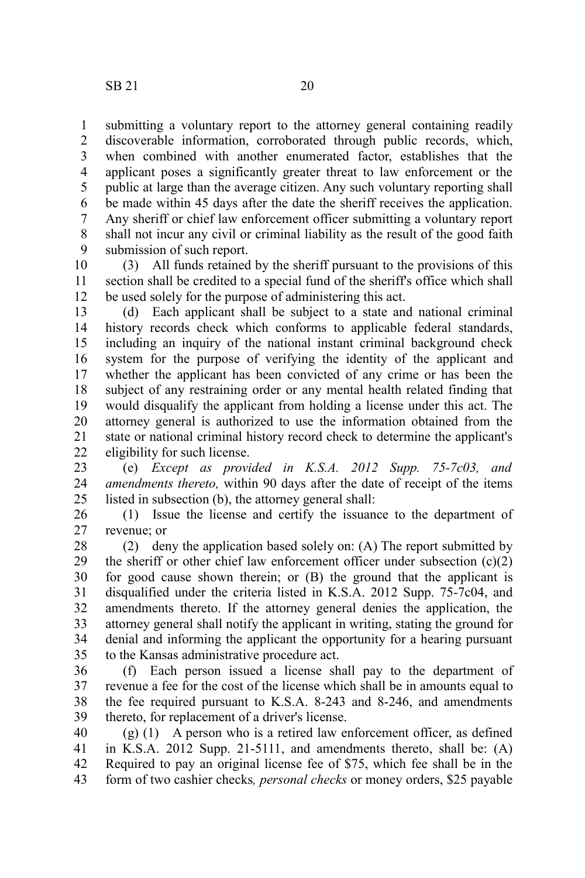submitting a voluntary report to the attorney general containing readily discoverable information, corroborated through public records, which, when combined with another enumerated factor, establishes that the applicant poses a significantly greater threat to law enforcement or the public at large than the average citizen. Any such voluntary reporting shall be made within 45 days after the date the sheriff receives the application. Any sheriff or chief law enforcement officer submitting a voluntary report shall not incur any civil or criminal liability as the result of the good faith submission of such report. 1 2 3 4 5 6 7 8 9

(3) All funds retained by the sheriff pursuant to the provisions of this section shall be credited to a special fund of the sheriff's office which shall be used solely for the purpose of administering this act. 10 11 12

(d) Each applicant shall be subject to a state and national criminal history records check which conforms to applicable federal standards, including an inquiry of the national instant criminal background check system for the purpose of verifying the identity of the applicant and whether the applicant has been convicted of any crime or has been the subject of any restraining order or any mental health related finding that would disqualify the applicant from holding a license under this act. The attorney general is authorized to use the information obtained from the state or national criminal history record check to determine the applicant's eligibility for such license. 13 14 15 16 17 18 19 20 21 22

(e) *Except as provided in K.S.A. 2012 Supp. 75-7c03, and amendments thereto,* within 90 days after the date of receipt of the items listed in subsection (b), the attorney general shall: 23 24 25

(1) Issue the license and certify the issuance to the department of revenue; or 26 27

(2) deny the application based solely on: (A) The report submitted by the sheriff or other chief law enforcement officer under subsection  $(c)(2)$ for good cause shown therein; or (B) the ground that the applicant is disqualified under the criteria listed in K.S.A. 2012 Supp. 75-7c04, and amendments thereto. If the attorney general denies the application, the attorney general shall notify the applicant in writing, stating the ground for denial and informing the applicant the opportunity for a hearing pursuant to the Kansas administrative procedure act. 28 29 30 31 32 33 34 35

(f) Each person issued a license shall pay to the department of revenue a fee for the cost of the license which shall be in amounts equal to the fee required pursuant to K.S.A. 8-243 and 8-246, and amendments thereto, for replacement of a driver's license. 36 37 38 39

(g) (1) A person who is a retired law enforcement officer, as defined in K.S.A. 2012 Supp. 21-5111, and amendments thereto, shall be: (A) Required to pay an original license fee of \$75, which fee shall be in the form of two cashier checks*, personal checks* or money orders, \$25 payable 40 41 42 43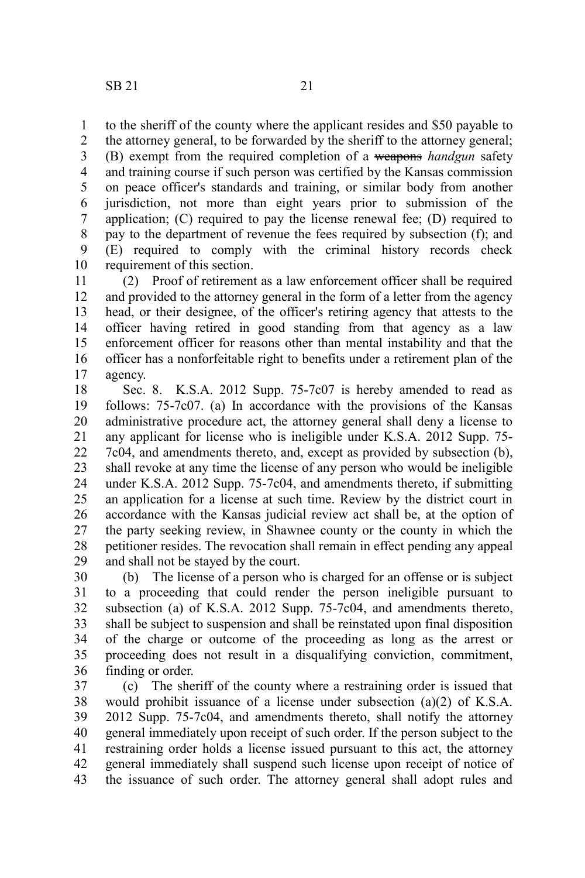to the sheriff of the county where the applicant resides and \$50 payable to 1

the attorney general, to be forwarded by the sheriff to the attorney general; (B) exempt from the required completion of a weapons *handgun* safety and training course if such person was certified by the Kansas commission on peace officer's standards and training, or similar body from another jurisdiction, not more than eight years prior to submission of the application; (C) required to pay the license renewal fee; (D) required to pay to the department of revenue the fees required by subsection (f); and (E) required to comply with the criminal history records check requirement of this section. 2 3 4 5 6 7 8 9 10

(2) Proof of retirement as a law enforcement officer shall be required and provided to the attorney general in the form of a letter from the agency head, or their designee, of the officer's retiring agency that attests to the officer having retired in good standing from that agency as a law enforcement officer for reasons other than mental instability and that the officer has a nonforfeitable right to benefits under a retirement plan of the agency. 11 12 13 14 15 16 17

Sec. 8. K.S.A. 2012 Supp. 75-7c07 is hereby amended to read as follows: 75-7c07. (a) In accordance with the provisions of the Kansas administrative procedure act, the attorney general shall deny a license to any applicant for license who is ineligible under K.S.A. 2012 Supp. 75- 7c04, and amendments thereto, and, except as provided by subsection (b), shall revoke at any time the license of any person who would be ineligible under K.S.A. 2012 Supp. 75-7c04, and amendments thereto, if submitting an application for a license at such time. Review by the district court in accordance with the Kansas judicial review act shall be, at the option of the party seeking review, in Shawnee county or the county in which the petitioner resides. The revocation shall remain in effect pending any appeal and shall not be stayed by the court. 18 19 20 21 22 23 24 25 26 27 28 29

(b) The license of a person who is charged for an offense or is subject to a proceeding that could render the person ineligible pursuant to subsection (a) of K.S.A. 2012 Supp. 75-7c04, and amendments thereto, shall be subject to suspension and shall be reinstated upon final disposition of the charge or outcome of the proceeding as long as the arrest or proceeding does not result in a disqualifying conviction, commitment, finding or order. 30 31 32 33 34 35 36

(c) The sheriff of the county where a restraining order is issued that would prohibit issuance of a license under subsection (a)(2) of K.S.A. 2012 Supp. 75-7c04, and amendments thereto, shall notify the attorney general immediately upon receipt of such order. If the person subject to the restraining order holds a license issued pursuant to this act, the attorney general immediately shall suspend such license upon receipt of notice of the issuance of such order. The attorney general shall adopt rules and 37 38 39 40 41 42 43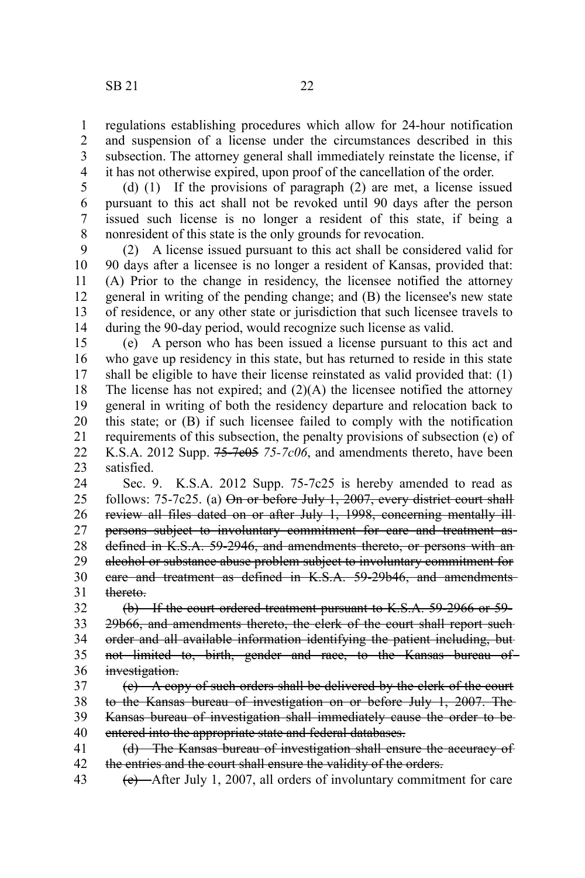regulations establishing procedures which allow for 24-hour notification and suspension of a license under the circumstances described in this subsection. The attorney general shall immediately reinstate the license, if it has not otherwise expired, upon proof of the cancellation of the order. 1 2 3 4

5

(d) (1) If the provisions of paragraph (2) are met, a license issued pursuant to this act shall not be revoked until 90 days after the person issued such license is no longer a resident of this state, if being a nonresident of this state is the only grounds for revocation. 6 7 8

(2) A license issued pursuant to this act shall be considered valid for 90 days after a licensee is no longer a resident of Kansas, provided that: (A) Prior to the change in residency, the licensee notified the attorney general in writing of the pending change; and (B) the licensee's new state of residence, or any other state or jurisdiction that such licensee travels to during the 90-day period, would recognize such license as valid. 9 10 11 12 13 14

(e) A person who has been issued a license pursuant to this act and who gave up residency in this state, but has returned to reside in this state shall be eligible to have their license reinstated as valid provided that: (1) The license has not expired; and  $(2)(A)$  the licensee notified the attorney general in writing of both the residency departure and relocation back to this state; or (B) if such licensee failed to comply with the notification requirements of this subsection, the penalty provisions of subsection (e) of K.S.A. 2012 Supp.  $75-7e05$  75-7c06, and amendments thereto, have been satisfied. 15 16 17 18 19 20 21 22 23

Sec. 9. K.S.A. 2012 Supp. 75-7c25 is hereby amended to read as follows:  $75-7c25$ . (a)  $\Theta$ n or before July 1, 2007, every district court shall review all files dated on or after July 1, 1998, concerning mentally illpersons subject to involuntary commitment for care and treatment as defined in K.S.A. 59-2946, and amendments thereto, or persons with an alcohol or substance abuse problem subject to involuntary commitment for care and treatment as defined in K.S.A. 59-29b46, and amendments thereto. 24 25 26 27 28 29 30 31

(b) If the court ordered treatment pursuant to K.S.A. 59-2966 or 59- 29b66, and amendments thereto, the clerk of the court shall report such order and all available information identifying the patient including, but not limited to, birth, gender and race, to the Kansas bureau of investigation. 32 33 34 35 36

(c) A copy of such orders shall be delivered by the clerk of the court to the Kansas bureau of investigation on or before July 1, 2007. The Kansas bureau of investigation shall immediately cause the order to be entered into the appropriate state and federal databases. 37 38 39 40

(d) The Kansas bureau of investigation shall ensure the accuracy of the entries and the court shall ensure the validity of the orders. 41 42

 $(e)$ —After July 1, 2007, all orders of involuntary commitment for care 43